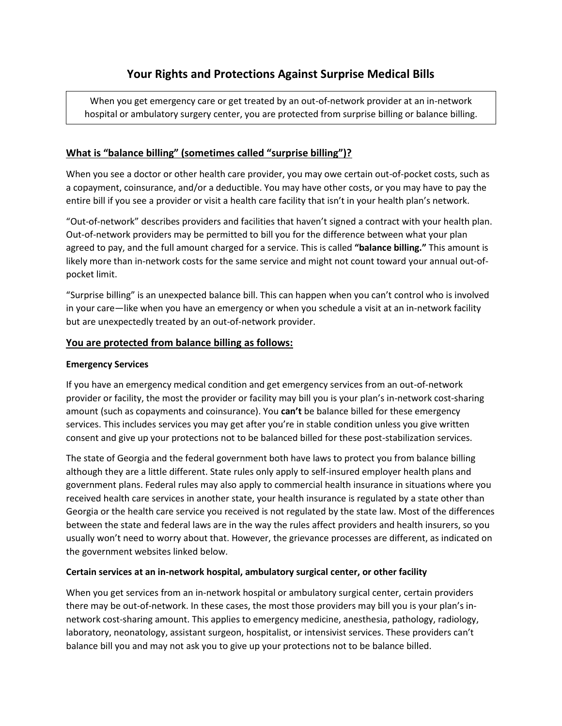When you get emergency care or get treated by an out-of-network provider at an in-network hospital or ambulatory surgery center, you are protected from surprise billing or balance billing.

# **What is "balance billing" (sometimes called "surprise billing")?**

When you see a doctor or other health care provider, you may owe certain out-of-pocket costs, such as a copayment, coinsurance, and/or a deductible. You may have other costs, or you may have to pay the entire bill if you see a provider or visit a health care facility that isn't in your health plan's network.

"Out-of-network" describes providers and facilities that haven't signed a contract with your health plan. Out-of-network providers may be permitted to bill you for the difference between what your plan agreed to pay, and the full amount charged for a service. This is called **"balance billing."** This amount is likely more than in-network costs for the same service and might not count toward your annual out-ofpocket limit.

"Surprise billing" is an unexpected balance bill. This can happen when you can't control who is involved in your care—like when you have an emergency or when you schedule a visit at an in-network facility but are unexpectedly treated by an out-of-network provider.

# **You are protected from balance billing as follows:**

### **Emergency Services**

If you have an emergency medical condition and get emergency services from an out-of-network provider or facility, the most the provider or facility may bill you is your plan's in-network cost-sharing amount (such as copayments and coinsurance). You **can't** be balance billed for these emergency services. This includes services you may get after you're in stable condition unless you give written consent and give up your protections not to be balanced billed for these post-stabilization services.

The state of Georgia and the federal government both have laws to protect you from balance billing although they are a little different. State rules only apply to self-insured employer health plans and government plans. Federal rules may also apply to commercial health insurance in situations where you received health care services in another state, your health insurance is regulated by a state other than Georgia or the health care service you received is not regulated by the state law. Most of the differences between the state and federal laws are in the way the rules affect providers and health insurers, so you usually won't need to worry about that. However, the grievance processes are different, as indicated on the government websites linked below.

# **Certain services at an in-network hospital, ambulatory surgical center, or other facility**

When you get services from an in-network hospital or ambulatory surgical center, certain providers there may be out-of-network. In these cases, the most those providers may bill you is your plan's innetwork cost-sharing amount. This applies to emergency medicine, anesthesia, pathology, radiology, laboratory, neonatology, assistant surgeon, hospitalist, or intensivist services. These providers can't balance bill you and may not ask you to give up your protections not to be balance billed.